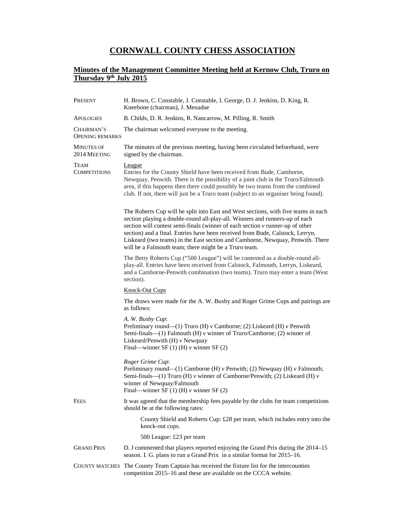## **CORNWALL COUNTY CHESS ASSOCIATION**

## **Minutes of the Management Committee Meeting held at Kernow Club, Truro on Thursday 9th July 2015**

| PRESENT                              | H. Brown, C. Constable, J. Constable, I. George, D. J. Jenkins, D. King, R.<br>Kneebone (chairman), J. Menadue                                                                                                                                                                                                                                                                                                                                                                     |
|--------------------------------------|------------------------------------------------------------------------------------------------------------------------------------------------------------------------------------------------------------------------------------------------------------------------------------------------------------------------------------------------------------------------------------------------------------------------------------------------------------------------------------|
| <b>APOLOGIES</b>                     | B. Childs, D. R. Jenkins, R. Nancarrow, M. Pilling, R. Smith                                                                                                                                                                                                                                                                                                                                                                                                                       |
| CHAIRMAN'S<br><b>OPENING REMARKS</b> | The chairman welcomed everyone to the meeting.                                                                                                                                                                                                                                                                                                                                                                                                                                     |
| <b>MINUTES OF</b><br>2014 MEETING    | The minutes of the previous meeting, having been circulated beforehand, were<br>signed by the chairman.                                                                                                                                                                                                                                                                                                                                                                            |
| TEAM<br><b>COMPETITIONS</b>          | League<br>Entries for the County Shield have been received from Bude, Camborne,<br>Newquay, Penwith. There is the possibility of a joint club in the Truro/Falmouth<br>area, if this happens then there could possibly be two teams from the combined<br>club. If not, there will just be a Truro team (subject to an organiser being found).                                                                                                                                      |
|                                      | The Roberts Cup will be split into East and West sections, with five teams in each<br>section playing a double-round all-play-all. Winners and runners-up of each<br>section will contest semi-finals (winner of each section $\nu$ runner-up of other<br>section) and a final. Entries have been received from Bude, Calstock, Lerryn,<br>Liskeard (two teams) in the East section and Camborne, Newquay, Penwith. There<br>will be a Falmouth team; there might be a Truro team. |
|                                      | The Betty Roberts Cup ("500 League") will be contested as a double-round all-<br>play-all. Entries have been received from Calstock, Falmouth, Lerryn, Liskeard,<br>and a Camborne-Penwith combination (two teams). Truro may enter a team (West<br>section).                                                                                                                                                                                                                      |
|                                      | <b>Knock-Out Cups</b>                                                                                                                                                                                                                                                                                                                                                                                                                                                              |
|                                      | The draws were made for the A. W. Busby and Roger Grime Cups and pairings are<br>as follows:                                                                                                                                                                                                                                                                                                                                                                                       |
|                                      | A. W. Busby Cup:<br>Preliminary round—(1) Truro (H) $\nu$ Camborne; (2) Liskeard (H) $\nu$ Penwith<br>Semi-finals— $(1)$ Falmouth $(H)$ v winner of Truro/Camborne; $(2)$ winner of<br>Liskeard/Penwith $(H)$ $\nu$ Newquay<br>Final—winner SF $(1)$ (H) v winner SF $(2)$                                                                                                                                                                                                         |
|                                      | Roger Grime Cup:<br>Preliminary round—(1) Camborne (H) $\nu$ Penwith; (2) Newquay (H) $\nu$ Falmouth;<br>Semi-finals—(1) Truro (H) $\nu$ winner of Camborne/Penwith; (2) Liskeard (H) $\nu$<br>winner of Newquay/Falmouth<br>Final—winner SF $(1)$ (H) $\nu$ winner SF $(2)$                                                                                                                                                                                                       |
| <b>FEES</b>                          | It was agreed that the membership fees payable by the clubs for team competitions<br>should be at the following rates:                                                                                                                                                                                                                                                                                                                                                             |
|                                      | County Shield and Roberts Cup: £28 per team, which includes entry into the<br>knock-out cups.                                                                                                                                                                                                                                                                                                                                                                                      |
|                                      | 500 League: £23 per team                                                                                                                                                                                                                                                                                                                                                                                                                                                           |
| <b>GRAND PRIX</b>                    | D. J commented that players reported enjoying the Grand Prix during the 2014-15<br>season. I. G. plans to run a Grand Prix in a similar format for 2015–16.                                                                                                                                                                                                                                                                                                                        |
|                                      | COUNTY MATCHES The County Team Captain has received the fixture list for the intercounties<br>competition 2015-16 and these are available on the CCCA website.                                                                                                                                                                                                                                                                                                                     |